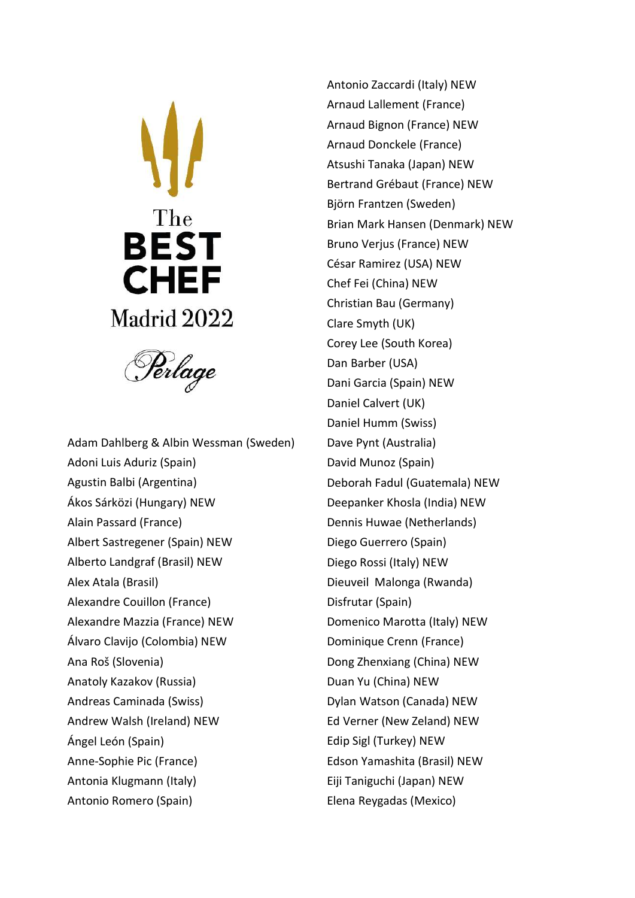



Adam Dahlberg & Albin Wessman (Sweden) Adoni Luis Aduriz (Spain) Agustin Balbi (Argentina) Ákos Sárközi (Hungary) NEW Alain Passard (France) Albert Sastregener (Spain) NEW Alberto Landgraf (Brasil) NEW Alex Atala (Brasil) Alexandre Couillon (France) Alexandre Mazzia (France) NEW Álvaro Clavijo (Colombia) NEW Ana Roš (Slovenia) Anatoly Kazakov (Russia) Andreas Caminada (Swiss) Andrew Walsh (Ireland) NEW Ángel León (Spain) Anne-Sophie Pic (France) Antonia Klugmann (Italy) Antonio Romero (Spain)

Antonio Zaccardi (Italy) NEW Arnaud Lallement (France) Arnaud Bignon (France) NEW Arnaud Donckele (France) Atsushi Tanaka (Japan) NEW Bertrand Grébaut (France) NEW Björn Frantzen (Sweden) Brian Mark Hansen (Denmark) NEW Bruno Verjus (France) NEW César Ramirez (USA) NEW Chef Fei (China) NEW Christian Bau (Germany) Clare Smyth (UK) Corey Lee (South Korea) Dan Barber (USA) Dani Garcia (Spain) NEW Daniel Calvert (UK) Daniel Humm (Swiss) Dave Pynt (Australia) David Munoz (Spain) Deborah Fadul (Guatemala) NEW Deepanker Khosla (India) NEW Dennis Huwae (Netherlands) Diego Guerrero (Spain) Diego Rossi (Italy) NEW Dieuveil Malonga (Rwanda) Disfrutar (Spain) Domenico Marotta (Italy) NEW Dominique Crenn (France) Dong Zhenxiang (China) NEW Duan Yu (China) NEW Dylan Watson (Canada) NEW Ed Verner (New Zeland) NEW Edip Sigl (Turkey) NEW Edson Yamashita (Brasil) NEW Eiji Taniguchi (Japan) NEW Elena Reygadas (Mexico)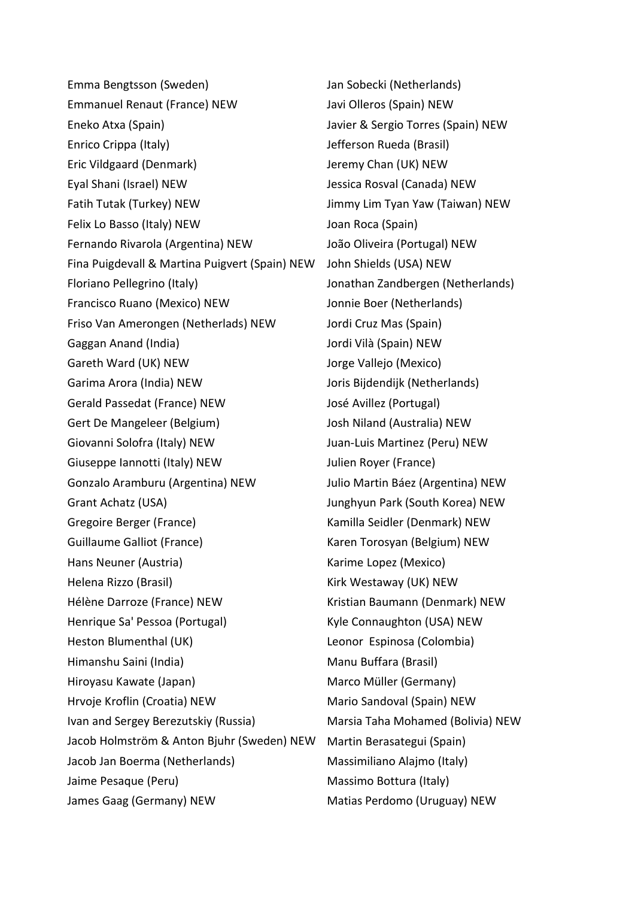Emma Bengtsson (Sweden) Emmanuel Renaut (France) NEW Eneko Atxa (Spain) Enrico Crippa (Italy) Eric Vildgaard (Denmark) Eyal Shani (Israel) NEW Fatih Tutak (Turkey) NEW Felix Lo Basso (Italy) NEW Fernando Rivarola (Argentina) NEW Fina Puigdevall & Martina Puigvert (Spain) NEW John Shields (USA) NEW Floriano Pellegrino (Italy) Francisco Ruano (Mexico) NEW Friso Van Amerongen (Netherlads) NEW Gaggan Anand (India) Gareth Ward (UK) NEW Garima Arora (India) NEW Gerald Passedat (France) NEW Gert De Mangeleer (Belgium) Giovanni Solofra (Italy) NEW Giuseppe Iannotti (Italy) NEW Gonzalo Aramburu (Argentina) NEW Grant Achatz (USA) Gregoire Berger (France) Guillaume Galliot (France) Hans Neuner (Austria) Helena Rizzo (Brasil) Hélène Darroze (France) NEW Henrique Sa' Pessoa (Portugal) Heston Blumenthal (UK) Himanshu Saini (India) Hiroyasu Kawate (Japan) Hrvoje Kroflin (Croatia) NEW Ivan and Sergey Berezutskiy (Russia) Jacob Holmström & Anton Bjuhr (Sweden) NEW Jacob Jan Boerma (Netherlands) Jaime Pesaque (Peru) James Gaag (Germany) NEW

Jan Sobecki (Netherlands) Javi Olleros (Spain) NEW Javier & Sergio Torres (Spain) NEW Jefferson Rueda (Brasil) Jeremy Chan (UK) NEW Jessica Rosval (Canada) NEW Jimmy Lim Tyan Yaw (Taiwan) NEW Joan Roca (Spain) João Oliveira (Portugal) NEW Jonathan Zandbergen (Netherlands) Jonnie Boer (Netherlands) Jordi Cruz Mas (Spain) Jordi Vilà (Spain) NEW Jorge Vallejo (Mexico) Joris Bijdendijk (Netherlands) José Avillez (Portugal) Josh Niland (Australia) NEW Juan-Luis Martinez (Peru) NEW Julien Royer (France) Julio Martin Báez (Argentina) NEW Junghyun Park (South Korea) NEW Kamilla Seidler (Denmark) NEW Karen Torosyan (Belgium) NEW Karime Lopez (Mexico) Kirk Westaway (UK) NEW Kristian Baumann (Denmark) NEW Kyle Connaughton (USA) NEW Leonor Espinosa (Colombia) Manu Buffara (Brasil) Marco Müller (Germany) Mario Sandoval (Spain) NEW Marsia Taha Mohamed (Bolivia) NEW Martin Berasategui (Spain) Massimiliano Alajmo (Italy) Massimo Bottura (Italy) Matias Perdomo (Uruguay) NEW